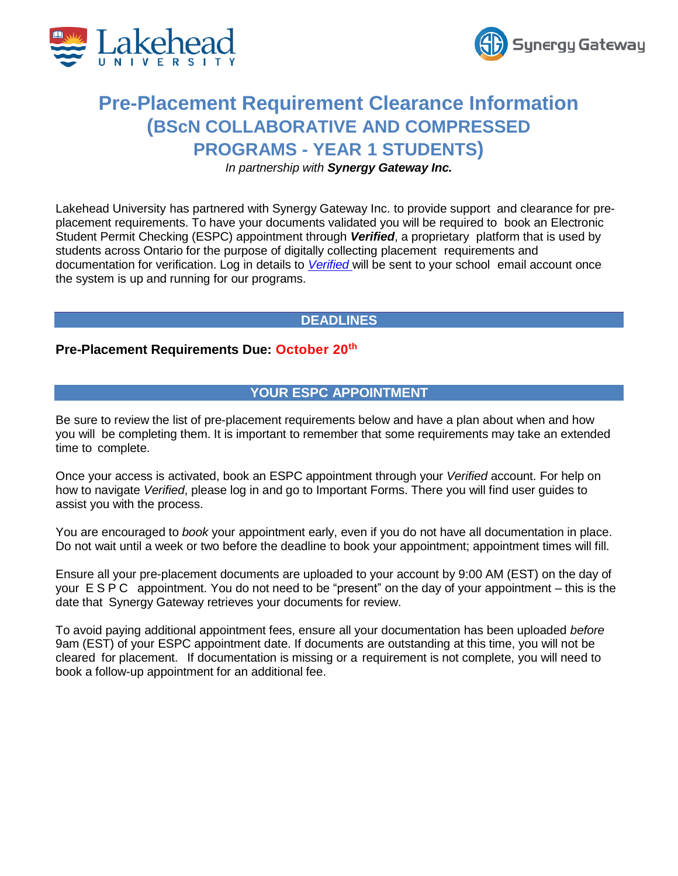



# **Pre-Placement Requirement Clearance Information (BScN COLLABORATIVE AND COMPRESSED PROGRAMS - YEAR 1 STUDENTS)**

*In partnership with Synergy Gateway Inc.*

Lakehead University has partnered with Synergy Gateway Inc. to provide support and clearance for preplacement requirements. To have your documents validated you will be required to book an Electronic Student Permit Checking (ESPC) appointment through *Verified*, a proprietary platform that is used by students across Ontario for the purpose of digitally collecting placement requirements and documentation for verification. Log in details to *[Verified](https://cpp.smartsimple4.biz/)* will be sent to your school email account once the system is up and running for our programs.

# **DEADLINES**

### **Pre-Placement Requirements Due: October 20th**

# **YOUR ESPC APPOINTMENT**

Be sure to review the list of pre-placement requirements below and have a plan about when and how you will be completing them. It is important to remember that some requirements may take an extended time to complete.

Once your access is activated, book an ESPC appointment through your *Verified* account. For help on how to navigate *Verified*, please log in and go to Important Forms. There you will find user guides to assist you with the process.

You are encouraged to *book* your appointment early, even if you do not have all documentation in place. Do not wait until a week or two before the deadline to book your appointment; appointment times will fill.

Ensure all your pre-placement documents are uploaded to your account by 9:00 AM (EST) on the day of your ESPC appointment. You do not need to be "present" on the day of your appointment – this is the date that Synergy Gateway retrieves your documents for review.

To avoid paying additional appointment fees, ensure all your documentation has been uploaded *before* 9am (EST) of your ESPC appointment date. If documents are outstanding at this time, you will not be cleared for placement. If documentation is missing or a requirement is not complete, you will need to book a follow-up appointment for an additional fee.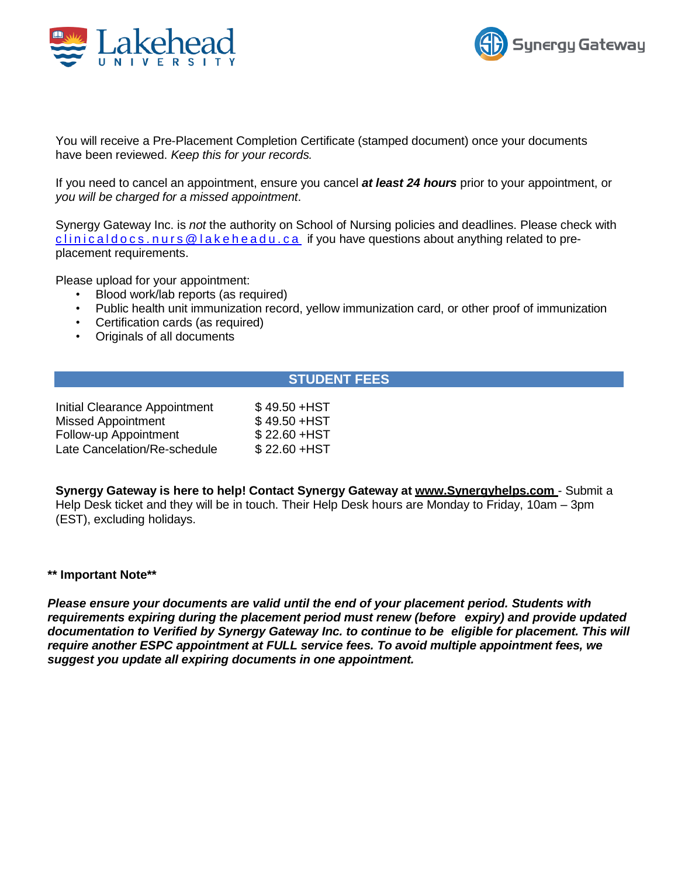



You will receive a Pre-Placement Completion Certificate (stamped document) once your documents have been reviewed. *Keep this for your records.*

If you need to cancel an appointment, ensure you cancel *at least 24 hours* prior to your appointment, or *you will be charged for a missed appointment*.

Synergy Gateway Inc. is *not* the authority on School of Nursing policies and deadlines. Please check with  $clinical docs$ . nurs  $@$  lakeheadu.  $ca$  if you have questions about anything related to preplacement requirements.

Please upload for your appointment:

- Blood work/lab reports (as required)
- Public health unit immunization record, yellow immunization card, or other proof of immunization
- Certification cards (as required)
- Originals of all documents

### **STUDENT FEES**

| Initial Clearance Appointment | \$49.50 + HST |
|-------------------------------|---------------|
| <b>Missed Appointment</b>     | \$49.50 + HST |
| Follow-up Appointment         | \$22.60 + HST |
| Late Cancelation/Re-schedule  | \$22.60 + HST |

**Synergy Gateway is here to help! Contact Synergy Gateway at www.Synergyhelps.com** - Submit a Help Desk ticket and they will be in touch. Their Help Desk hours are Monday to Friday, 10am – 3pm (EST), excluding holidays.

#### **\*\* Important Note\*\***

*Please ensure your documents are valid until the end of your placement period. Students with requirements expiring during the placement period must renew (before expiry) and provide updated documentation to Verified by Synergy Gateway Inc. to continue to be eligible for placement. This will require another ESPC appointment at FULL service fees. To avoid multiple appointment fees, we suggest you update all expiring documents in one appointment.*